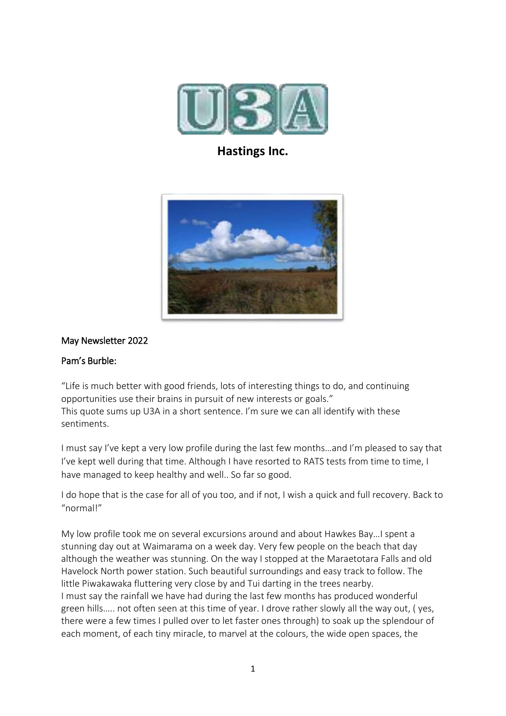

# **Hastings Inc.**



#### May Newsletter 2022

#### Pam's Burble:

"Life is much better with good friends, lots of interesting things to do, and continuing opportunities use their brains in pursuit of new interests or goals." This quote sums up U3A in a short sentence. I'm sure we can all identify with these sentiments.

I must say I've kept a very low profile during the last few months…and I'm pleased to say that I've kept well during that time. Although I have resorted to RATS tests from time to time, I have managed to keep healthy and well.. So far so good.

I do hope that is the case for all of you too, and if not, I wish a quick and full recovery. Back to "normal!"

My low profile took me on several excursions around and about Hawkes Bay…I spent a stunning day out at Waimarama on a week day. Very few people on the beach that day although the weather was stunning. On the way I stopped at the Maraetotara Falls and old Havelock North power station. Such beautiful surroundings and easy track to follow. The little Piwakawaka fluttering very close by and Tui darting in the trees nearby. I must say the rainfall we have had during the last few months has produced wonderful green hills….. not often seen at this time of year. I drove rather slowly all the way out, ( yes, there were a few times I pulled over to let faster ones through) to soak up the splendour of each moment, of each tiny miracle, to marvel at the colours, the wide open spaces, the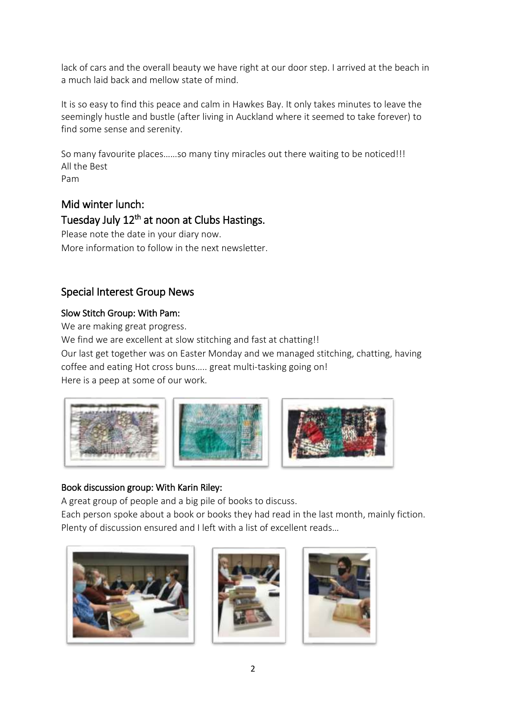lack of cars and the overall beauty we have right at our door step. I arrived at the beach in a much laid back and mellow state of mind.

It is so easy to find this peace and calm in Hawkes Bay. It only takes minutes to leave the seemingly hustle and bustle (after living in Auckland where it seemed to take forever) to find some sense and serenity.

So many favourite places……so many tiny miracles out there waiting to be noticed!!! All the Best Pam

# Mid winter lunch:

# Tuesday July 12<sup>th</sup> at noon at Clubs Hastings.

Please note the date in your diary now. More information to follow in the next newsletter.

# Special Interest Group News

# Slow Stitch Group: With Pam:

We are making great progress.

We find we are excellent at slow stitching and fast at chatting!!

Our last get together was on Easter Monday and we managed stitching, chatting, having coffee and eating Hot cross buns….. great multi-tasking going on! Here is a peep at some of our work.



# Book discussion group: With Karin Riley:

A great group of people and a big pile of books to discuss.

Each person spoke about a book or books they had read in the last month, mainly fiction. Plenty of discussion ensured and I left with a list of excellent reads…





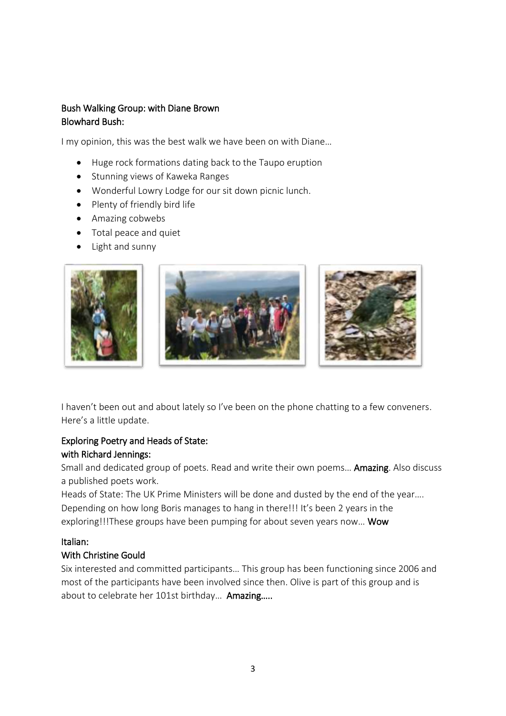## Bush Walking Group: with Diane Brown Blowhard Bush:

I my opinion, this was the best walk we have been on with Diane…

- Huge rock formations dating back to the Taupo eruption
- Stunning views of Kaweka Ranges
- Wonderful Lowry Lodge for our sit down picnic lunch.
- Plenty of friendly bird life
- Amazing cobwebs
- Total peace and quiet
- Light and sunny



I haven't been out and about lately so I've been on the phone chatting to a few conveners. Here's a little update.

## Exploring Poetry and Heads of State: with Richard Jennings:

Small and dedicated group of poets. Read and write their own poems… Amazing. Also discuss a published poets work.

Heads of State: The UK Prime Ministers will be done and dusted by the end of the year…. Depending on how long Boris manages to hang in there!!! It's been 2 years in the exploring!!!These groups have been pumping for about seven years now... Wow

#### Italian:

## With Christine Gould

Six interested and committed participants… This group has been functioning since 2006 and most of the participants have been involved since then. Olive is part of this group and is about to celebrate her 101st birthday… Amazing…..